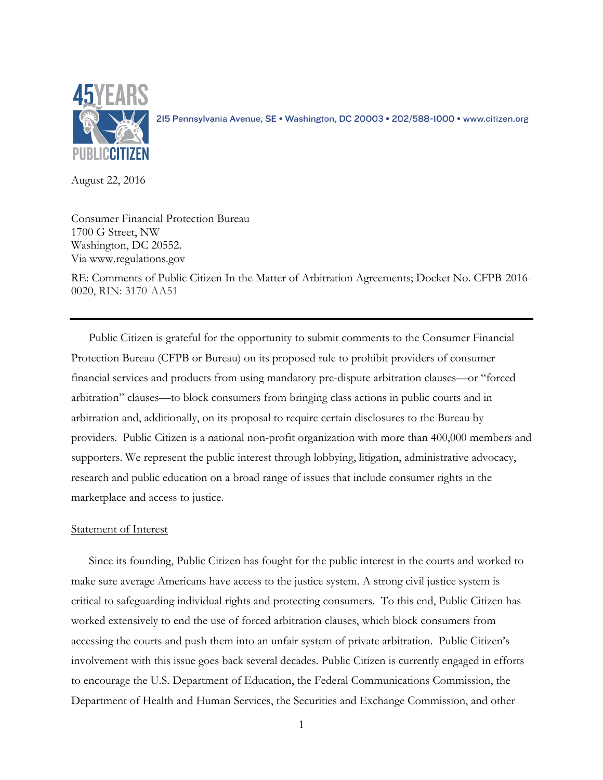

2I5 Pennsylvania Avenue, SE · Washington, DC 20003 · 202/588-1000 · www.citizen.org

August 22, 2016

Consumer Financial Protection Bureau 1700 G Street, NW Washington, DC 20552. Via www.regulations.gov

RE: Comments of Public Citizen In the Matter of Arbitration Agreements; Docket No. CFPB-2016- 0020, RIN: 3170-AA51

Public Citizen is grateful for the opportunity to submit comments to the Consumer Financial Protection Bureau (CFPB or Bureau) on its proposed rule to prohibit providers of consumer financial services and products from using mandatory pre-dispute arbitration clauses—or "forced arbitration" clauses—to block consumers from bringing class actions in public courts and in arbitration and, additionally, on its proposal to require certain disclosures to the Bureau by providers. Public Citizen is a national non-profit organization with more than 400,000 members and supporters. We represent the public interest through lobbying, litigation, administrative advocacy, research and public education on a broad range of issues that include consumer rights in the marketplace and access to justice.

## Statement of Interest

Since its founding, Public Citizen has fought for the public interest in the courts and worked to make sure average Americans have access to the justice system. A strong civil justice system is critical to safeguarding individual rights and protecting consumers. To this end, Public Citizen has worked extensively to end the use of forced arbitration clauses, which block consumers from accessing the courts and push them into an unfair system of private arbitration. Public Citizen's involvement with this issue goes back several decades. Public Citizen is currently engaged in efforts to encourage the U.S. Department of Education, the Federal Communications Commission, the Department of Health and Human Services, the Securities and Exchange Commission, and other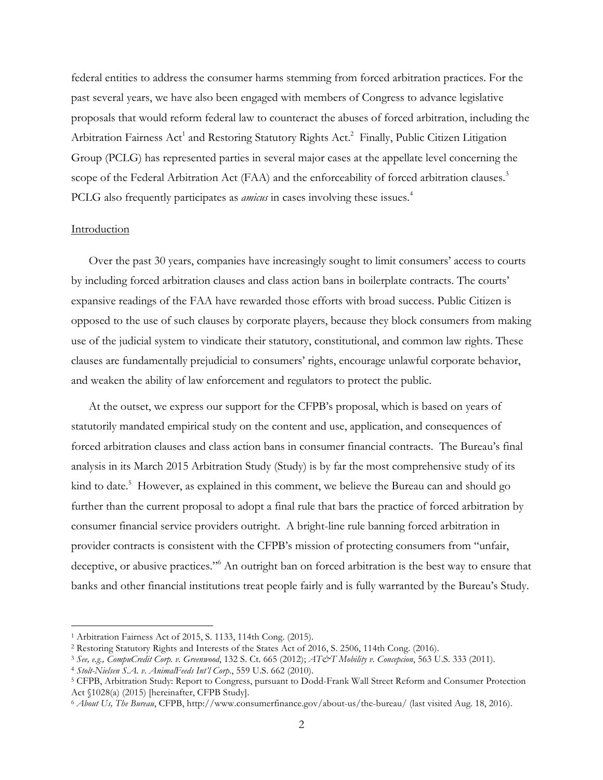federal entities to address the consumer harms stemming from forced arbitration practices. For the past several years, we have also been engaged with members of Congress to advance legislative proposals that would reform federal law to counteract the abuses of forced arbitration, including the Arbitration Fairness Act<sup>1</sup> and Restoring Statutory Rights Act.<sup>2</sup> Finally, Public Citizen Litigation Group (PCLG) has represented parties in several major cases at the appellate level concerning the scope of the Federal Arbitration Act (FAA) and the enforceability of forced arbitration clauses.<sup>3</sup> PCLG also frequently participates as *amicus* in cases involving these issues.<sup>4</sup>

### Introduction

Over the past 30 years, companies have increasingly sought to limit consumers' access to courts by including forced arbitration clauses and class action bans in boilerplate contracts. The courts' expansive readings of the FAA have rewarded those efforts with broad success. Public Citizen is opposed to the use of such clauses by corporate players, because they block consumers from making use of the judicial system to vindicate their statutory, constitutional, and common law rights. These clauses are fundamentally prejudicial to consumers' rights, encourage unlawful corporate behavior, and weaken the ability of law enforcement and regulators to protect the public.

At the outset, we express our support for the CFPB's proposal, which is based on years of statutorily mandated empirical study on the content and use, application, and consequences of forced arbitration clauses and class action bans in consumer financial contracts. The Bureau's final analysis in its March 2015 Arbitration Study (Study) is by far the most comprehensive study of its kind to date.<sup>5</sup> However, as explained in this comment, we believe the Bureau can and should go further than the current proposal to adopt a final rule that bars the practice of forced arbitration by consumer financial service providers outright. A bright-line rule banning forced arbitration in provider contracts is consistent with the CFPB's mission of protecting consumers from "unfair, deceptive, or abusive practices."<sup>6</sup> An outright ban on forced arbitration is the best way to ensure that banks and other financial institutions treat people fairly and is fully warranted by the Bureau's Study.

 <sup>1</sup> Arbitration Fairness Act of 2015, S. 1133, 114th Cong. (2015).

<sup>2</sup> Restoring Statutory Rights and Interests of the States Act of 2016, S. 2506, 114th Cong. (2016).

<sup>3</sup> *See, e.g., CompuCredit Corp. v. Greenwood*, 132 S. Ct. 665 (2012); *AT&T Mobility v. Concepcion*, 563 U.S. 333 (2011). 4 *Stolt-Nielsen S.A. v. AnimalFeeds Int'l Corp.*, 559 U.S. 662 (2010).

<sup>5</sup> CFPB, Arbitration Study: Report to Congress, pursuant to Dodd-Frank Wall Street Reform and Consumer Protection Act §1028(a) (2015) [hereinafter, CFPB Study].

<sup>6</sup> *About Us, The Bureau*, CFPB, http://www.consumerfinance.gov/about-us/the-bureau/ (last visited Aug. 18, 2016).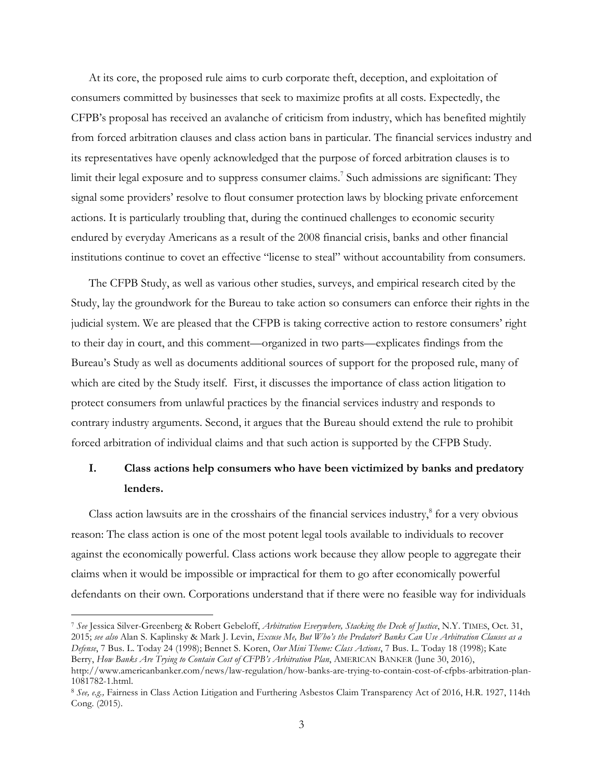At its core, the proposed rule aims to curb corporate theft, deception, and exploitation of consumers committed by businesses that seek to maximize profits at all costs. Expectedly, the CFPB's proposal has received an avalanche of criticism from industry, which has benefited mightily from forced arbitration clauses and class action bans in particular. The financial services industry and its representatives have openly acknowledged that the purpose of forced arbitration clauses is to limit their legal exposure and to suppress consumer claims.<sup>7</sup> Such admissions are significant: They signal some providers' resolve to flout consumer protection laws by blocking private enforcement actions. It is particularly troubling that, during the continued challenges to economic security endured by everyday Americans as a result of the 2008 financial crisis, banks and other financial institutions continue to covet an effective "license to steal" without accountability from consumers.

The CFPB Study, as well as various other studies, surveys, and empirical research cited by the Study, lay the groundwork for the Bureau to take action so consumers can enforce their rights in the judicial system. We are pleased that the CFPB is taking corrective action to restore consumers' right to their day in court, and this comment—organized in two parts—explicates findings from the Bureau's Study as well as documents additional sources of support for the proposed rule, many of which are cited by the Study itself. First, it discusses the importance of class action litigation to protect consumers from unlawful practices by the financial services industry and responds to contrary industry arguments. Second, it argues that the Bureau should extend the rule to prohibit forced arbitration of individual claims and that such action is supported by the CFPB Study.

# **I. Class actions help consumers who have been victimized by banks and predatory lenders.**

Class action lawsuits are in the crosshairs of the financial services industry, <sup>8</sup> for a very obvious reason: The class action is one of the most potent legal tools available to individuals to recover against the economically powerful. Class actions work because they allow people to aggregate their claims when it would be impossible or impractical for them to go after economically powerful defendants on their own. Corporations understand that if there were no feasible way for individuals

 <sup>7</sup> *See* Jessica Silver-Greenberg & Robert Gebeloff, *Arbitration Everywhere, Stacking the Deck of Justice*, N.Y. TIMES, Oct. 31, 2015; *see also* Alan S. Kaplinsky & Mark J. Levin, *Excuse Me, But Who's the Predator? Banks Can Use Arbitration Clauses as a Defense*, 7 Bus. L. Today 24 (1998); Bennet S. Koren, *Our Mini Theme: Class Actions*, 7 Bus. L. Today 18 (1998); Kate Berry, *How Banks Are Trying to Contain Cost of CFPB's Arbitration Plan*, AMERICAN BANKER (June 30, 2016), http://www.americanbanker.com/news/law-regulation/how-banks-are-trying-to-contain-cost-of-cfpbs-arbitration-plan-

<sup>1081782-1.</sup>html. 8 *See, e.g.,* Fairness in Class Action Litigation and Furthering Asbestos Claim Transparency Act of 2016, H.R. 1927, 114th

Cong. (2015).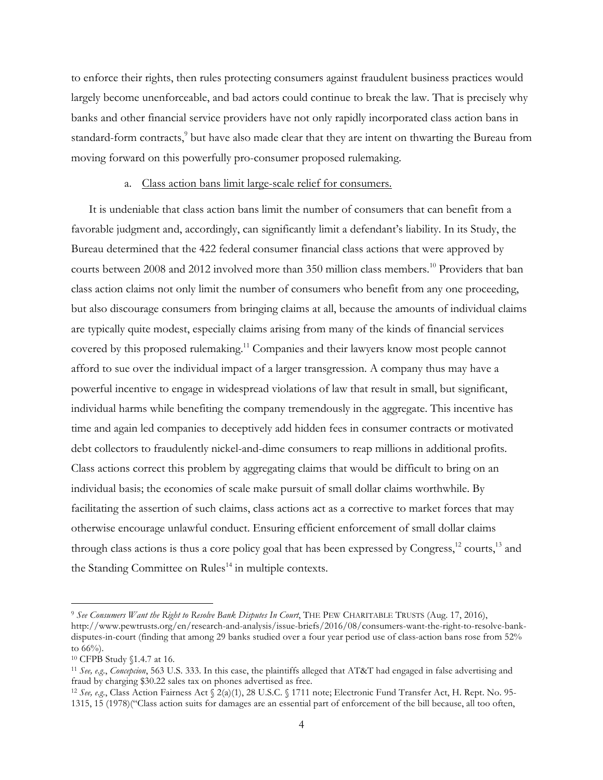to enforce their rights, then rules protecting consumers against fraudulent business practices would largely become unenforceable, and bad actors could continue to break the law. That is precisely why banks and other financial service providers have not only rapidly incorporated class action bans in standard-form contracts,<sup>9</sup> but have also made clear that they are intent on thwarting the Bureau from moving forward on this powerfully pro-consumer proposed rulemaking.

### a. Class action bans limit large-scale relief for consumers.

It is undeniable that class action bans limit the number of consumers that can benefit from a favorable judgment and, accordingly, can significantly limit a defendant's liability. In its Study, the Bureau determined that the 422 federal consumer financial class actions that were approved by courts between 2008 and 2012 involved more than 350 million class members. <sup>10</sup> Providers that ban class action claims not only limit the number of consumers who benefit from any one proceeding, but also discourage consumers from bringing claims at all, because the amounts of individual claims are typically quite modest, especially claims arising from many of the kinds of financial services covered by this proposed rulemaking.<sup>11</sup> Companies and their lawyers know most people cannot afford to sue over the individual impact of a larger transgression. A company thus may have a powerful incentive to engage in widespread violations of law that result in small, but significant, individual harms while benefiting the company tremendously in the aggregate. This incentive has time and again led companies to deceptively add hidden fees in consumer contracts or motivated debt collectors to fraudulently nickel-and-dime consumers to reap millions in additional profits. Class actions correct this problem by aggregating claims that would be difficult to bring on an individual basis; the economies of scale make pursuit of small dollar claims worthwhile. By facilitating the assertion of such claims, class actions act as a corrective to market forces that may otherwise encourage unlawful conduct. Ensuring efficient enforcement of small dollar claims through class actions is thus a core policy goal that has been expressed by Congress,<sup>12</sup> courts,<sup>13</sup> and the Standing Committee on Rules<sup>14</sup> in multiple contexts.

 <sup>9</sup> *See Consumers Want the Right to Resolve Bank Disputes In Court*, THE PEW CHARITABLE TRUSTS (Aug. 17, 2016), http://www.pewtrusts.org/en/research-and-analysis/issue-briefs/2016/08/consumers-want-the-right-to-resolve-bankdisputes-in-court (finding that among 29 banks studied over a four year period use of class-action bans rose from 52% to 66%).

<sup>10</sup> CFPB Study §1.4.7 at 16.

<sup>11</sup> *See, e.g.*, *Concepcion*, 563 U.S. 333. In this case, the plaintiffs alleged that AT&T had engaged in false advertising and fraud by charging \$30.22 sales tax on phones advertised as free.

<sup>12</sup> *See, e.g.*, Class Action Fairness Act § 2(a)(1), 28 U.S.C. § 1711 note; Electronic Fund Transfer Act, H. Rept. No. 95- 1315, 15 (1978)("Class action suits for damages are an essential part of enforcement of the bill because, all too often,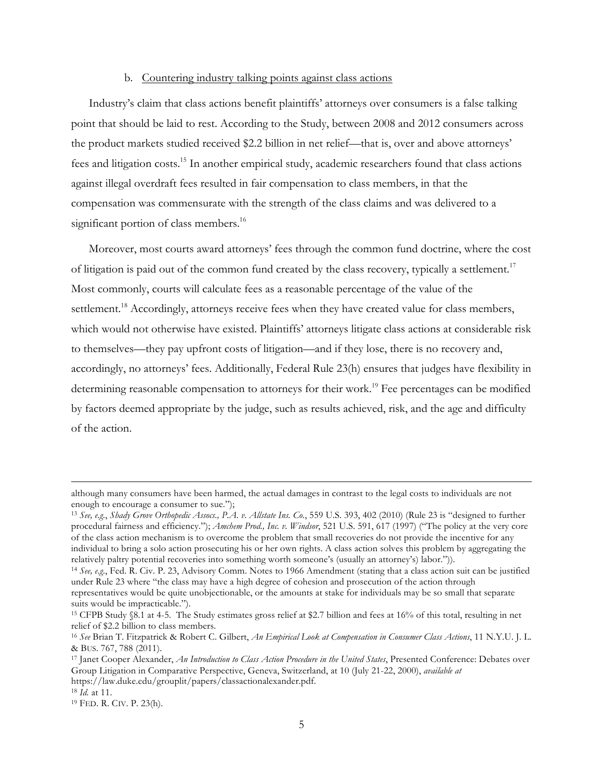### b. Countering industry talking points against class actions

Industry's claim that class actions benefit plaintiffs' attorneys over consumers is a false talking point that should be laid to rest. According to the Study, between 2008 and 2012 consumers across the product markets studied received \$2.2 billion in net relief—that is, over and above attorneys' fees and litigation costs.15 In another empirical study, academic researchers found that class actions against illegal overdraft fees resulted in fair compensation to class members, in that the compensation was commensurate with the strength of the class claims and was delivered to a significant portion of class members.<sup>16</sup>

Moreover, most courts award attorneys' fees through the common fund doctrine, where the cost of litigation is paid out of the common fund created by the class recovery, typically a settlement.<sup>17</sup> Most commonly, courts will calculate fees as a reasonable percentage of the value of the settlement.<sup>18</sup> Accordingly, attorneys receive fees when they have created value for class members, which would not otherwise have existed. Plaintiffs' attorneys litigate class actions at considerable risk to themselves—they pay upfront costs of litigation—and if they lose, there is no recovery and, accordingly, no attorneys' fees. Additionally, Federal Rule 23(h) ensures that judges have flexibility in determining reasonable compensation to attorneys for their work.<sup>19</sup> Fee percentages can be modified by factors deemed appropriate by the judge, such as results achieved, risk, and the age and difficulty of the action.

although many consumers have been harmed, the actual damages in contrast to the legal costs to individuals are not enough to encourage a consumer to sue.");

<sup>13</sup> *See, e.g.*, *Shady Grove Orthopedic Assocs., P.A. v. Allstate Ins. Co.*, 559 U.S. 393, 402 (2010) (Rule 23 is "designed to further procedural fairness and efficiency."); *Amchem Prod., Inc. v. Windsor*, 521 U.S. 591, 617 (1997) ("The policy at the very core of the class action mechanism is to overcome the problem that small recoveries do not provide the incentive for any individual to bring a solo action prosecuting his or her own rights. A class action solves this problem by aggregating the relatively paltry potential recoveries into something worth someone's (usually an attorney's) labor.")).<br><sup>14</sup> See, e.g., Fed. R. Civ. P. 23, Advisory Comm. Notes to 1966 Amendment (stating that a class action suit can be j

under Rule 23 where "the class may have a high degree of cohesion and prosecution of the action through representatives would be quite unobjectionable, or the amounts at stake for individuals may be so small that separate suits would be impracticable.").

<sup>15</sup> CFPB Study §8.1 at 4-5. The Study estimates gross relief at \$2.7 billion and fees at 16% of this total, resulting in net relief of \$2.2 billion to class members.

<sup>16</sup> *See* Brian T. Fitzpatrick & Robert C. Gilbert, *An Empirical Look at Compensation in Consumer Class Actions*, 11 N.Y.U. J. L. & BUS. 767, 788 (2011).

<sup>17</sup> Janet Cooper Alexander, *An Introduction to Class Action Procedure in the United States*, Presented Conference: Debates over Group Litigation in Comparative Perspective, Geneva, Switzerland, at 10 (July 21-22, 2000), *available at* https://law.duke.edu/grouplit/papers/classactionalexander.pdf. 18 *Id.* at 11. 19 FED. R. CIV. P. 23(h).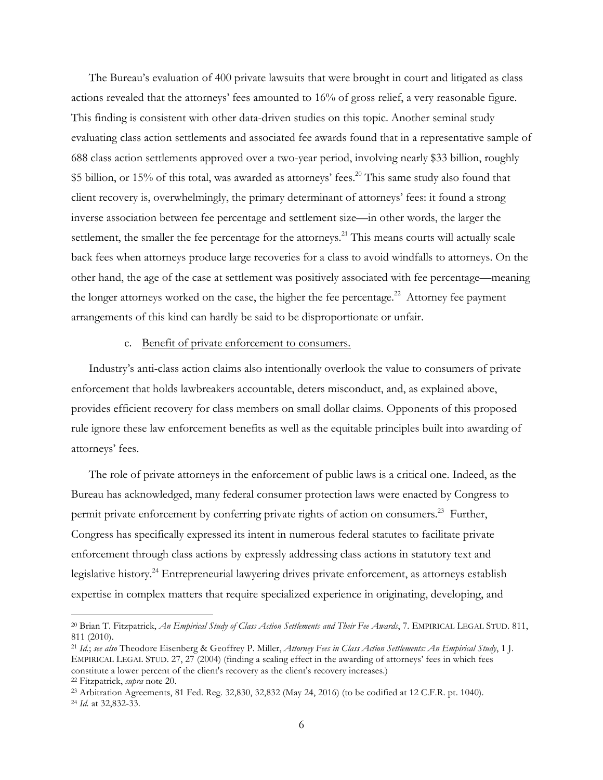The Bureau's evaluation of 400 private lawsuits that were brought in court and litigated as class actions revealed that the attorneys' fees amounted to 16% of gross relief, a very reasonable figure. This finding is consistent with other data-driven studies on this topic. Another seminal study evaluating class action settlements and associated fee awards found that in a representative sample of 688 class action settlements approved over a two-year period, involving nearly \$33 billion, roughly \$5 billion, or 15% of this total, was awarded as attorneys' fees.<sup>20</sup> This same study also found that client recovery is, overwhelmingly, the primary determinant of attorneys' fees: it found a strong inverse association between fee percentage and settlement size—in other words, the larger the settlement, the smaller the fee percentage for the attorneys.<sup>21</sup> This means courts will actually scale back fees when attorneys produce large recoveries for a class to avoid windfalls to attorneys. On the other hand, the age of the case at settlement was positively associated with fee percentage—meaning the longer attorneys worked on the case, the higher the fee percentage.<sup>22</sup> Attorney fee payment arrangements of this kind can hardly be said to be disproportionate or unfair.

# c. Benefit of private enforcement to consumers.

Industry's anti-class action claims also intentionally overlook the value to consumers of private enforcement that holds lawbreakers accountable, deters misconduct, and, as explained above, provides efficient recovery for class members on small dollar claims. Opponents of this proposed rule ignore these law enforcement benefits as well as the equitable principles built into awarding of attorneys' fees.

The role of private attorneys in the enforcement of public laws is a critical one. Indeed, as the Bureau has acknowledged, many federal consumer protection laws were enacted by Congress to permit private enforcement by conferring private rights of action on consumers.<sup>23</sup> Further, Congress has specifically expressed its intent in numerous federal statutes to facilitate private enforcement through class actions by expressly addressing class actions in statutory text and legislative history.<sup>24</sup> Entrepreneurial lawyering drives private enforcement, as attorneys establish expertise in complex matters that require specialized experience in originating, developing, and

 <sup>20</sup> Brian T. Fitzpatrick, *An Empirical Study of Class Action Settlements and Their Fee Awards*, 7. EMPIRICAL LEGAL STUD. 811, 811 (2010).

<sup>21</sup> *Id.*; *see also* Theodore Eisenberg & Geoffrey P. Miller, *Attorney Fees in Class Action Settlements: An Empirical Study*, 1 J. EMPIRICAL LEGAL STUD. 27, 27 (2004) (finding a scaling effect in the awarding of attorneys' fees in which fees constitute a lower percent of the client's recovery as the client's recovery increases.) <sup>22</sup> Fitzpatrick, *supra* note 20.

<sup>23</sup> Arbitration Agreements, 81 Fed. Reg. 32,830, 32,832 (May 24, 2016) (to be codified at 12 C.F.R. pt. 1040). 24 *Id.* at 32,832-33.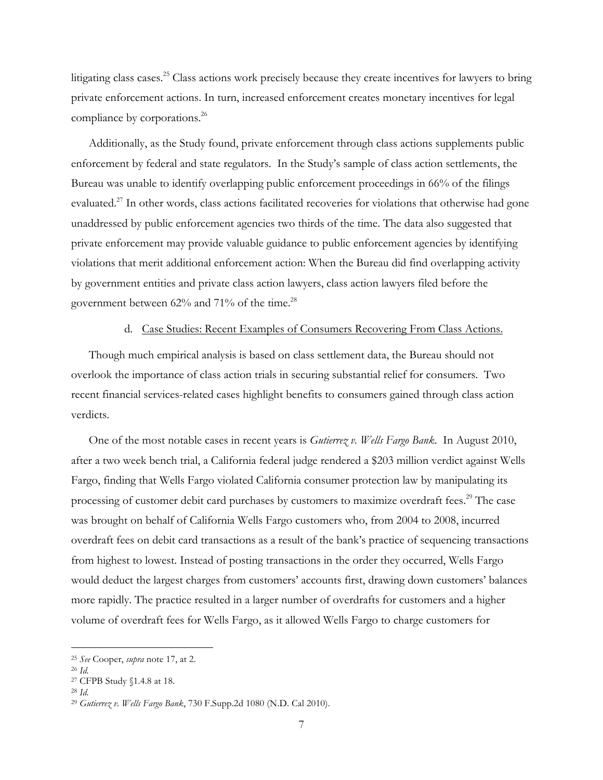litigating class cases.<sup>25</sup> Class actions work precisely because they create incentives for lawyers to bring private enforcement actions. In turn, increased enforcement creates monetary incentives for legal compliance by corporations.<sup>26</sup>

Additionally, as the Study found, private enforcement through class actions supplements public enforcement by federal and state regulators. In the Study's sample of class action settlements, the Bureau was unable to identify overlapping public enforcement proceedings in 66% of the filings evaluated.<sup>27</sup> In other words, class actions facilitated recoveries for violations that otherwise had gone unaddressed by public enforcement agencies two thirds of the time. The data also suggested that private enforcement may provide valuable guidance to public enforcement agencies by identifying violations that merit additional enforcement action: When the Bureau did find overlapping activity by government entities and private class action lawyers, class action lawyers filed before the government between 62% and 71% of the time.<sup>28</sup>

#### d. Case Studies: Recent Examples of Consumers Recovering From Class Actions.

Though much empirical analysis is based on class settlement data, the Bureau should not overlook the importance of class action trials in securing substantial relief for consumers. Two recent financial services-related cases highlight benefits to consumers gained through class action verdicts.

One of the most notable cases in recent years is *Gutierrez v. Wells Fargo Bank*. In August 2010, after a two week bench trial, a California federal judge rendered a \$203 million verdict against Wells Fargo, finding that Wells Fargo violated California consumer protection law by manipulating its processing of customer debit card purchases by customers to maximize overdraft fees.<sup>29</sup> The case was brought on behalf of California Wells Fargo customers who, from 2004 to 2008, incurred overdraft fees on debit card transactions as a result of the bank's practice of sequencing transactions from highest to lowest. Instead of posting transactions in the order they occurred, Wells Fargo would deduct the largest charges from customers' accounts first, drawing down customers' balances more rapidly. The practice resulted in a larger number of overdrafts for customers and a higher volume of overdraft fees for Wells Fargo, as it allowed Wells Fargo to charge customers for

 <sup>25</sup> *See* Cooper, *supra* note 17, at 2.

<sup>26</sup> *Id.*

<sup>27</sup> CFPB Study §1.4.8 at 18.

<sup>28</sup> *Id.*

<sup>29</sup> *Gutierrez v. Wells Fargo Bank*, 730 F.Supp.2d 1080 (N.D. Cal 2010).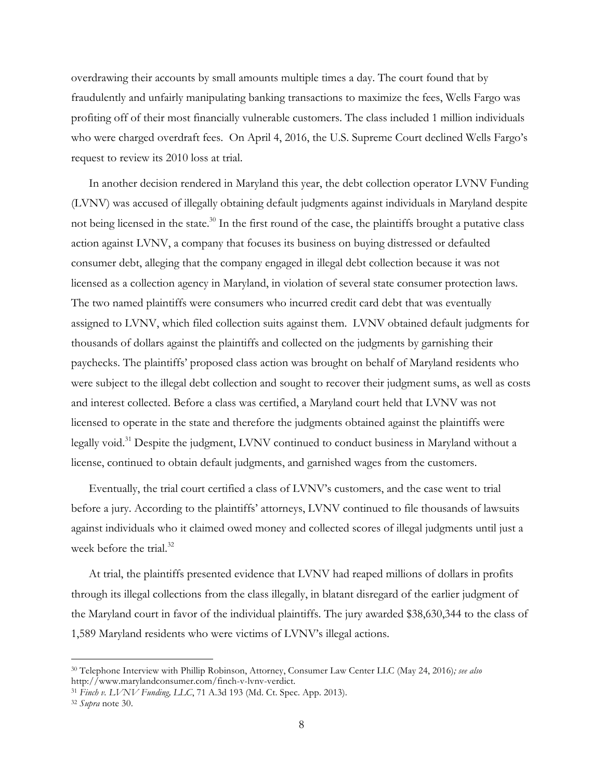overdrawing their accounts by small amounts multiple times a day. The court found that by fraudulently and unfairly manipulating banking transactions to maximize the fees, Wells Fargo was profiting off of their most financially vulnerable customers. The class included 1 million individuals who were charged overdraft fees. On April 4, 2016, the U.S. Supreme Court declined Wells Fargo's request to review its 2010 loss at trial.

In another decision rendered in Maryland this year, the debt collection operator LVNV Funding (LVNV) was accused of illegally obtaining default judgments against individuals in Maryland despite not being licensed in the state.<sup>30</sup> In the first round of the case, the plaintiffs brought a putative class action against LVNV, a company that focuses its business on buying distressed or defaulted consumer debt, alleging that the company engaged in illegal debt collection because it was not licensed as a collection agency in Maryland, in violation of several state consumer protection laws. The two named plaintiffs were consumers who incurred credit card debt that was eventually assigned to LVNV, which filed collection suits against them. LVNV obtained default judgments for thousands of dollars against the plaintiffs and collected on the judgments by garnishing their paychecks. The plaintiffs' proposed class action was brought on behalf of Maryland residents who were subject to the illegal debt collection and sought to recover their judgment sums, as well as costs and interest collected. Before a class was certified, a Maryland court held that LVNV was not licensed to operate in the state and therefore the judgments obtained against the plaintiffs were legally void.<sup>31</sup> Despite the judgment, LVNV continued to conduct business in Maryland without a license, continued to obtain default judgments, and garnished wages from the customers.

Eventually, the trial court certified a class of LVNV's customers, and the case went to trial before a jury. According to the plaintiffs' attorneys, LVNV continued to file thousands of lawsuits against individuals who it claimed owed money and collected scores of illegal judgments until just a week before the trial.<sup>32</sup>

At trial, the plaintiffs presented evidence that LVNV had reaped millions of dollars in profits through its illegal collections from the class illegally, in blatant disregard of the earlier judgment of the Maryland court in favor of the individual plaintiffs. The jury awarded \$38,630,344 to the class of 1,589 Maryland residents who were victims of LVNV's illegal actions.

 <sup>30</sup> Telephone Interview with Phillip Robinson, Attorney, Consumer Law Center LLC (May 24, 2016)*; see also* http://www.marylandconsumer.com/finch-v-lvnv-verdict.

<sup>31</sup> *Finch v. LVNV Funding, LLC*, 71 A.3d 193 (Md. Ct. Spec. App. 2013).

<sup>32</sup> *Supra* note 30.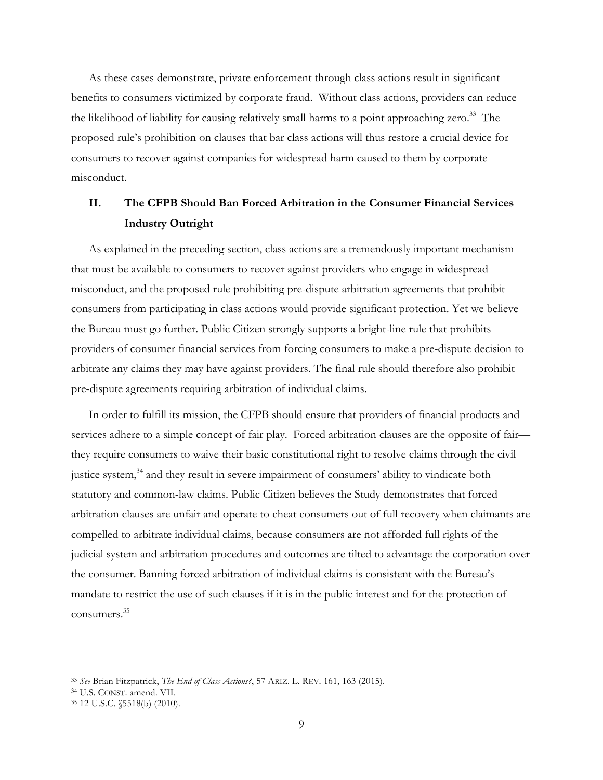As these cases demonstrate, private enforcement through class actions result in significant benefits to consumers victimized by corporate fraud. Without class actions, providers can reduce the likelihood of liability for causing relatively small harms to a point approaching zero.<sup>33</sup> The proposed rule's prohibition on clauses that bar class actions will thus restore a crucial device for consumers to recover against companies for widespread harm caused to them by corporate misconduct.

# **II. The CFPB Should Ban Forced Arbitration in the Consumer Financial Services Industry Outright**

As explained in the preceding section, class actions are a tremendously important mechanism that must be available to consumers to recover against providers who engage in widespread misconduct, and the proposed rule prohibiting pre-dispute arbitration agreements that prohibit consumers from participating in class actions would provide significant protection. Yet we believe the Bureau must go further. Public Citizen strongly supports a bright-line rule that prohibits providers of consumer financial services from forcing consumers to make a pre-dispute decision to arbitrate any claims they may have against providers. The final rule should therefore also prohibit pre-dispute agreements requiring arbitration of individual claims.

In order to fulfill its mission, the CFPB should ensure that providers of financial products and services adhere to a simple concept of fair play. Forced arbitration clauses are the opposite of fair they require consumers to waive their basic constitutional right to resolve claims through the civil justice system,<sup>34</sup> and they result in severe impairment of consumers' ability to vindicate both statutory and common-law claims. Public Citizen believes the Study demonstrates that forced arbitration clauses are unfair and operate to cheat consumers out of full recovery when claimants are compelled to arbitrate individual claims, because consumers are not afforded full rights of the judicial system and arbitration procedures and outcomes are tilted to advantage the corporation over the consumer. Banning forced arbitration of individual claims is consistent with the Bureau's mandate to restrict the use of such clauses if it is in the public interest and for the protection of consumers.35

 <sup>33</sup> *See* Brian Fitzpatrick, *The End of Class Actions?*, 57 ARIZ. L. REV. 161, 163 (2015).

<sup>34</sup> U.S. CONST. amend. VII. 35 12 U.S.C. §5518(b) (2010).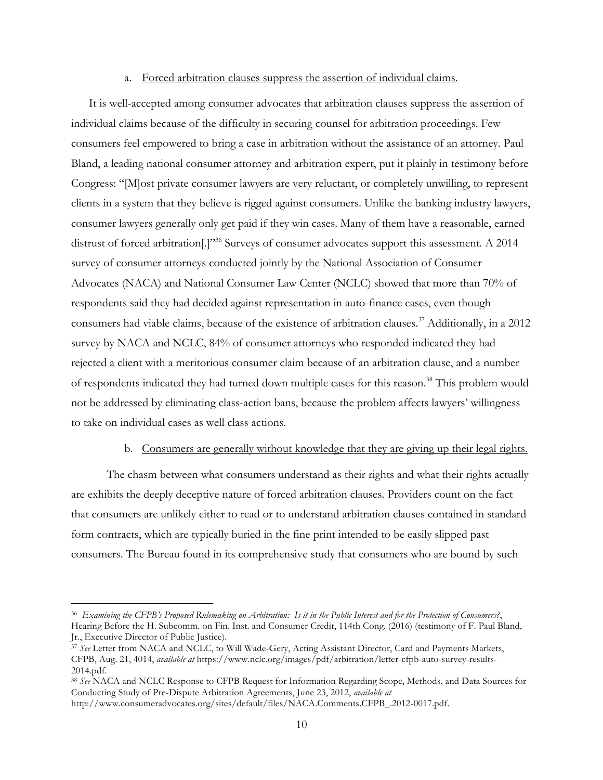### a. Forced arbitration clauses suppress the assertion of individual claims.

It is well-accepted among consumer advocates that arbitration clauses suppress the assertion of individual claims because of the difficulty in securing counsel for arbitration proceedings. Few consumers feel empowered to bring a case in arbitration without the assistance of an attorney. Paul Bland, a leading national consumer attorney and arbitration expert, put it plainly in testimony before Congress: "[M]ost private consumer lawyers are very reluctant, or completely unwilling, to represent clients in a system that they believe is rigged against consumers. Unlike the banking industry lawyers, consumer lawyers generally only get paid if they win cases. Many of them have a reasonable, earned distrust of forced arbitration<sup>[1]"36</sup> Surveys of consumer advocates support this assessment. A 2014 survey of consumer attorneys conducted jointly by the National Association of Consumer Advocates (NACA) and National Consumer Law Center (NCLC) showed that more than 70% of respondents said they had decided against representation in auto-finance cases, even though consumers had viable claims, because of the existence of arbitration clauses. <sup>37</sup> Additionally, in a 2012 survey by NACA and NCLC, 84% of consumer attorneys who responded indicated they had rejected a client with a meritorious consumer claim because of an arbitration clause, and a number of respondents indicated they had turned down multiple cases for this reason.<sup>38</sup> This problem would not be addressed by eliminating class-action bans, because the problem affects lawyers' willingness to take on individual cases as well class actions.

## b. Consumers are generally without knowledge that they are giving up their legal rights.

The chasm between what consumers understand as their rights and what their rights actually are exhibits the deeply deceptive nature of forced arbitration clauses. Providers count on the fact that consumers are unlikely either to read or to understand arbitration clauses contained in standard form contracts, which are typically buried in the fine print intended to be easily slipped past consumers. The Bureau found in its comprehensive study that consumers who are bound by such

 <sup>36</sup> *Examining the CFPB's Proposed Rulemaking on Arbitration: Is it in the Public Interest and for the Protection of Consumers?*, Hearing Before the H. Subcomm. on Fin. Inst. and Consumer Credit, 114th Cong. (2016) (testimony of F. Paul Bland, Jr., Executive Director of Public Justice).

<sup>37</sup> *See* Letter from NACA and NCLC, to Will Wade-Gery, Acting Assistant Director, Card and Payments Markets, CFPB, Aug. 21, 4014, *available at* https://www.nclc.org/images/pdf/arbitration/letter-cfpb-auto-survey-results-2014.pdf.

<sup>38</sup> *See* NACA and NCLC Response to CFPB Request for Information Regarding Scope, Methods, and Data Sources for Conducting Study of Pre-Dispute Arbitration Agreements, June 23, 2012, *available at* http://www.consumeradvocates.org/sites/default/files/NACA.Comments.CFPB\_.2012-0017.pdf.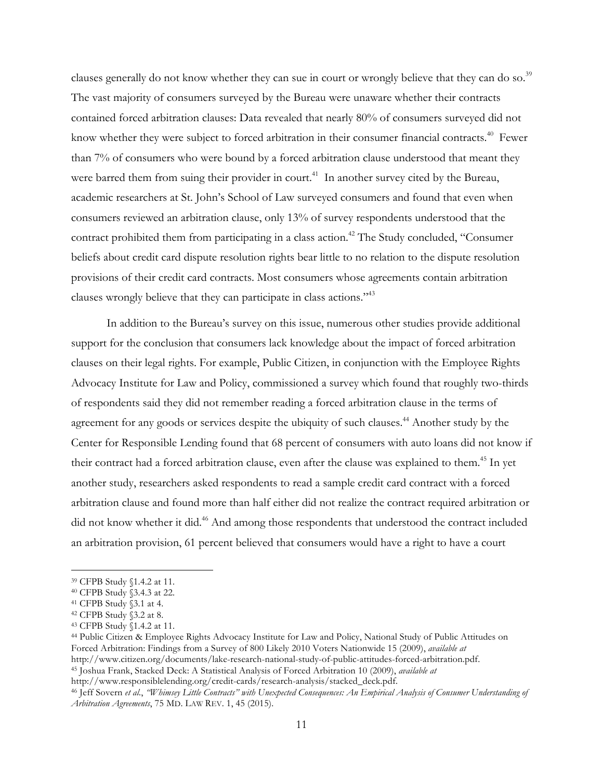clauses generally do not know whether they can sue in court or wrongly believe that they can do so.<sup>39</sup> The vast majority of consumers surveyed by the Bureau were unaware whether their contracts contained forced arbitration clauses: Data revealed that nearly 80% of consumers surveyed did not know whether they were subject to forced arbitration in their consumer financial contracts.<sup>40</sup> Fewer than 7% of consumers who were bound by a forced arbitration clause understood that meant they were barred them from suing their provider in court.<sup>41</sup> In another survey cited by the Bureau, academic researchers at St. John's School of Law surveyed consumers and found that even when consumers reviewed an arbitration clause, only 13% of survey respondents understood that the contract prohibited them from participating in a class action.<sup>42</sup> The Study concluded, "Consumer beliefs about credit card dispute resolution rights bear little to no relation to the dispute resolution provisions of their credit card contracts. Most consumers whose agreements contain arbitration clauses wrongly believe that they can participate in class actions."43

In addition to the Bureau's survey on this issue, numerous other studies provide additional support for the conclusion that consumers lack knowledge about the impact of forced arbitration clauses on their legal rights. For example, Public Citizen, in conjunction with the Employee Rights Advocacy Institute for Law and Policy, commissioned a survey which found that roughly two-thirds of respondents said they did not remember reading a forced arbitration clause in the terms of agreement for any goods or services despite the ubiquity of such clauses.<sup>44</sup> Another study by the Center for Responsible Lending found that 68 percent of consumers with auto loans did not know if their contract had a forced arbitration clause, even after the clause was explained to them.<sup>45</sup> In yet another study, researchers asked respondents to read a sample credit card contract with a forced arbitration clause and found more than half either did not realize the contract required arbitration or did not know whether it did.<sup>46</sup> And among those respondents that understood the contract included an arbitration provision, 61 percent believed that consumers would have a right to have a court

 <sup>39</sup> CFPB Study §1.4.2 at 11.

<sup>40</sup> CFPB Study §3.4.3 at 22.

<sup>41</sup> CFPB Study §3.1 at 4.

<sup>42</sup> CFPB Study §3.2 at 8.

<sup>43</sup> CFPB Study §1.4.2 at 11.

<sup>44</sup> Public Citizen & Employee Rights Advocacy Institute for Law and Policy, National Study of Public Attitudes on Forced Arbitration: Findings from a Survey of 800 Likely 2010 Voters Nationwide 15 (2009), *available at* http://www.citizen.org/documents/lake-research-national-study-of-public-attitudes-forced-arbitration.pdf. <sup>45</sup> Joshua Frank, Stacked Deck: A Statistical Analysis of Forced Arbitration 10 (2009), *available at*

http://www.responsiblelending.org/credit-cards/research-analysis/stacked\_deck.pdf.<br><sup>46</sup> Jeff Sovern et al., "Whimsey Little Contracts" with Unexpected Consequences: An Empirical Analysis of Consumer Understanding of *Arbitration Agreements*, 75 MD. LAW REV. 1, 45 (2015).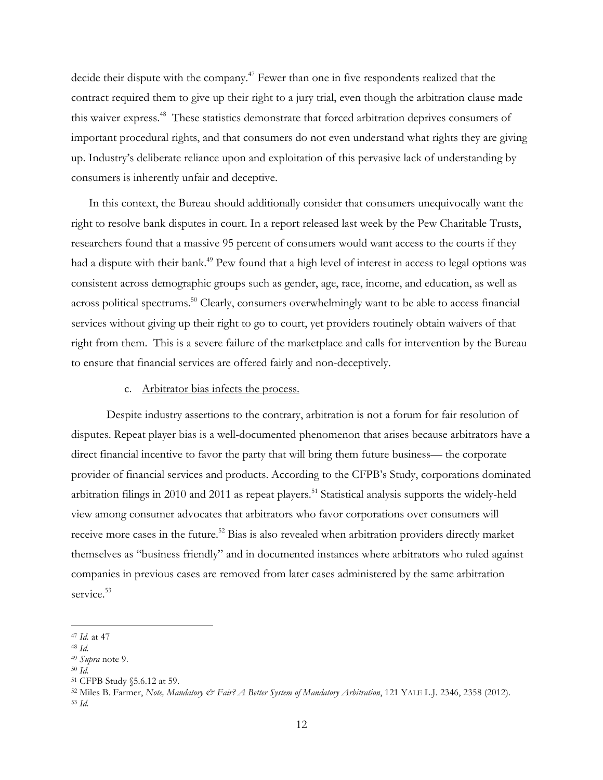decide their dispute with the company.<sup>47</sup> Fewer than one in five respondents realized that the contract required them to give up their right to a jury trial, even though the arbitration clause made this waiver express.48 These statistics demonstrate that forced arbitration deprives consumers of important procedural rights, and that consumers do not even understand what rights they are giving up. Industry's deliberate reliance upon and exploitation of this pervasive lack of understanding by consumers is inherently unfair and deceptive.

In this context, the Bureau should additionally consider that consumers unequivocally want the right to resolve bank disputes in court. In a report released last week by the Pew Charitable Trusts, researchers found that a massive 95 percent of consumers would want access to the courts if they had a dispute with their bank.<sup>49</sup> Pew found that a high level of interest in access to legal options was consistent across demographic groups such as gender, age, race, income, and education, as well as across political spectrums.<sup>50</sup> Clearly, consumers overwhelmingly want to be able to access financial services without giving up their right to go to court, yet providers routinely obtain waivers of that right from them. This is a severe failure of the marketplace and calls for intervention by the Bureau to ensure that financial services are offered fairly and non-deceptively.

# c. Arbitrator bias infects the process.

Despite industry assertions to the contrary, arbitration is not a forum for fair resolution of disputes. Repeat player bias is a well-documented phenomenon that arises because arbitrators have a direct financial incentive to favor the party that will bring them future business— the corporate provider of financial services and products. According to the CFPB's Study, corporations dominated arbitration filings in 2010 and 2011 as repeat players.<sup>51</sup> Statistical analysis supports the widely-held view among consumer advocates that arbitrators who favor corporations over consumers will receive more cases in the future.<sup>52</sup> Bias is also revealed when arbitration providers directly market themselves as "business friendly" and in documented instances where arbitrators who ruled against companies in previous cases are removed from later cases administered by the same arbitration service. 53

 <sup>47</sup> *Id.* at 47

<sup>48</sup> *Id.*

<sup>49</sup> *Supra* note 9.

<sup>50</sup> *Id.*

<sup>51</sup> CFPB Study §5.6.12 at 59.

<sup>52</sup> Miles B. Farmer, *Note, Mandatory & Fair? A Better System of Mandatory Arbitration*, 121 YALE L.J. 2346, 2358 (2012). <sup>53</sup> *Id.*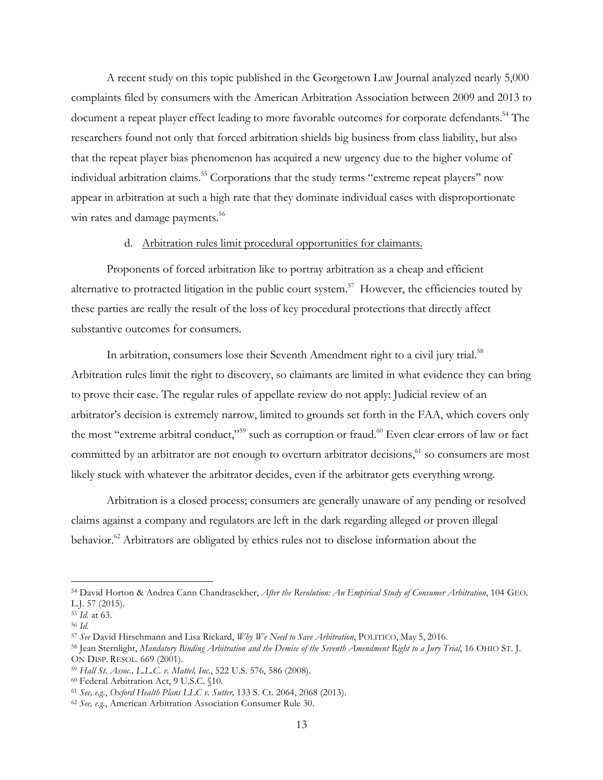A recent study on this topic published in the Georgetown Law Journal analyzed nearly 5,000 complaints filed by consumers with the American Arbitration Association between 2009 and 2013 to document a repeat player effect leading to more favorable outcomes for corporate defendants.<sup>54</sup> The researchers found not only that forced arbitration shields big business from class liability, but also that the repeat player bias phenomenon has acquired a new urgency due to the higher volume of individual arbitration claims. <sup>55</sup> Corporations that the study terms "extreme repeat players" now appear in arbitration at such a high rate that they dominate individual cases with disproportionate win rates and damage payments.<sup>56</sup>

## d. Arbitration rules limit procedural opportunities for claimants.

Proponents of forced arbitration like to portray arbitration as a cheap and efficient alternative to protracted litigation in the public court system.<sup>57</sup> However, the efficiencies touted by these parties are really the result of the loss of key procedural protections that directly affect substantive outcomes for consumers.

In arbitration, consumers lose their Seventh Amendment right to a civil jury trial.<sup>58</sup> Arbitration rules limit the right to discovery, so claimants are limited in what evidence they can bring to prove their case. The regular rules of appellate review do not apply: Judicial review of an arbitrator's decision is extremely narrow, limited to grounds set forth in the FAA, which covers only the most "extreme arbitral conduct,"<sup>59</sup> such as corruption or fraud.<sup>60</sup> Even clear errors of law or fact committed by an arbitrator are not enough to overturn arbitrator decisions,<sup>61</sup> so consumers are most likely stuck with whatever the arbitrator decides, even if the arbitrator gets everything wrong.

Arbitration is a closed process; consumers are generally unaware of any pending or resolved claims against a company and regulators are left in the dark regarding alleged or proven illegal behavior.<sup>62</sup> Arbitrators are obligated by ethics rules not to disclose information about the

 <sup>54</sup> David Horton & Andrea Cann Chandrasekher, *After the Revolution: An Empirical Study of Consumer Arbitration*, 104 GEO. L.J. 57 (2015).

<sup>55</sup> *Id.* at 63.

<sup>56</sup> *Id.*

<sup>57</sup> *See* David Hirschmann and Lisa Rickard, *Why We Need to Save Arbitration*, POLITICO, May 5, 2016.

<sup>58</sup> Jean Sternlight, *Mandatory Binding Arbitration and the Demise of the Seventh Amendment Right to a Jury Trial*, 16 OHIO ST. J. ON DISP. RESOL. 669 (2001).

<sup>59</sup> *Hall St. Assoc., L.L.C. v. Mattel, Inc.*, 522 U.S. 576, 586 (2008).

<sup>60</sup> Federal Arbitration Act, 9 U.S.C. §10.

<sup>61</sup> *See, e.g.*, *Oxford Health Plans LLC v. Sutter,* 133 S. Ct. 2064, 2068 (2013).

<sup>62</sup> *See, e.g.*, American Arbitration Association Consumer Rule 30.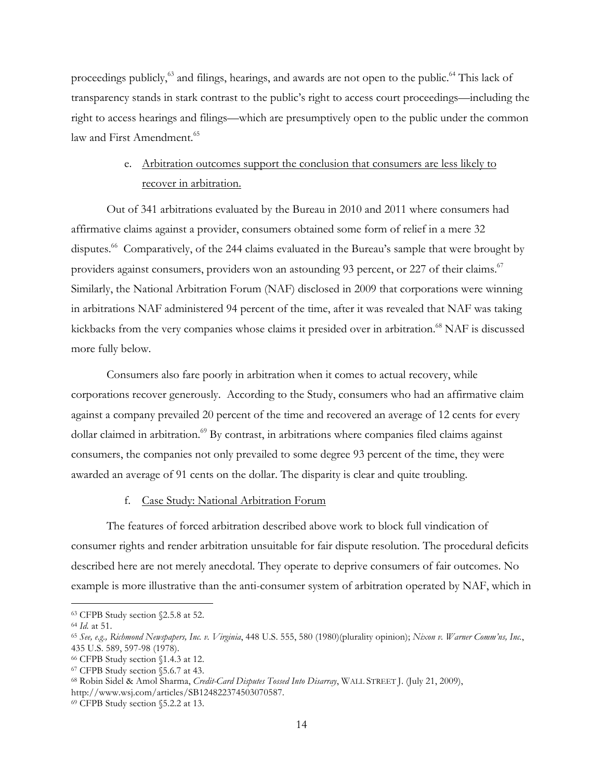proceedings publicly,<sup>63</sup> and filings, hearings, and awards are not open to the public.<sup>64</sup> This lack of transparency stands in stark contrast to the public's right to access court proceedings—including the right to access hearings and filings—which are presumptively open to the public under the common law and First Amendment.<sup>65</sup>

# e. Arbitration outcomes support the conclusion that consumers are less likely to recover in arbitration.

Out of 341 arbitrations evaluated by the Bureau in 2010 and 2011 where consumers had affirmative claims against a provider, consumers obtained some form of relief in a mere 32 disputes. 66 Comparatively, of the 244 claims evaluated in the Bureau's sample that were brought by providers against consumers, providers won an astounding 93 percent, or 227 of their claims.<sup>67</sup> Similarly, the National Arbitration Forum (NAF) disclosed in 2009 that corporations were winning in arbitrations NAF administered 94 percent of the time, after it was revealed that NAF was taking kickbacks from the very companies whose claims it presided over in arbitration.<sup>68</sup> NAF is discussed more fully below.

Consumers also fare poorly in arbitration when it comes to actual recovery, while corporations recover generously. According to the Study, consumers who had an affirmative claim against a company prevailed 20 percent of the time and recovered an average of 12 cents for every dollar claimed in arbitration.<sup>69</sup> By contrast, in arbitrations where companies filed claims against consumers, the companies not only prevailed to some degree 93 percent of the time, they were awarded an average of 91 cents on the dollar. The disparity is clear and quite troubling.

## f. Case Study: National Arbitration Forum

The features of forced arbitration described above work to block full vindication of consumer rights and render arbitration unsuitable for fair dispute resolution. The procedural deficits described here are not merely anecdotal. They operate to deprive consumers of fair outcomes. No example is more illustrative than the anti-consumer system of arbitration operated by NAF, which in

 <sup>63</sup> CFPB Study section §2.5.8 at 52.

<sup>64</sup> *Id.* at 51.

<sup>65</sup> *See, e.g., Richmond Newspapers, Inc. v. Virginia*, 448 U.S. 555, 580 (1980)(plurality opinion); *Nixon v. Warner Comm'ns, Inc.*, 435 U.S. 589, 597-98 (1978).

<sup>66</sup> CFPB Study section §1.4.3 at 12.

<sup>67</sup> CFPB Study section §5.6.7 at 43.

<sup>68</sup> Robin Sidel & Amol Sharma, *Credit-Card Disputes Tossed Into Disarray*, WALL STREET J. (July 21, 2009), http://www.wsj.com/articles/SB124822374503070587.

<sup>69</sup> CFPB Study section §5.2.2 at 13.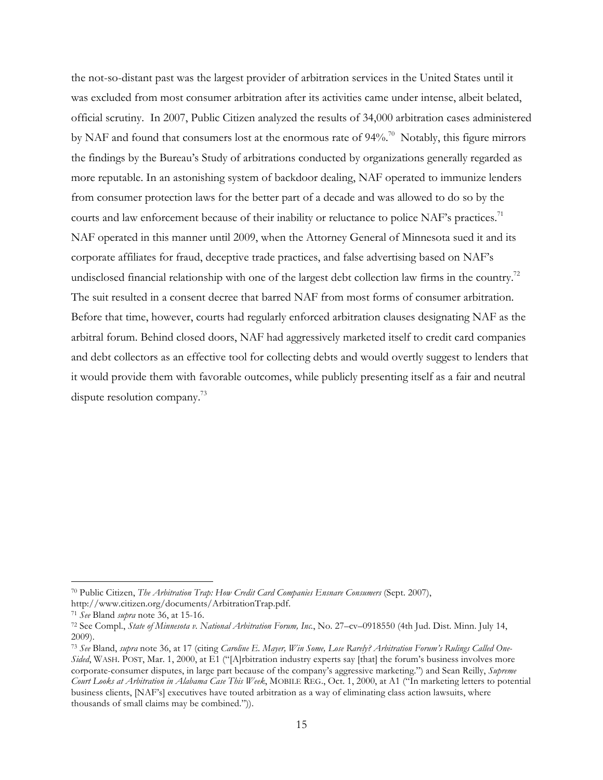the not-so-distant past was the largest provider of arbitration services in the United States until it was excluded from most consumer arbitration after its activities came under intense, albeit belated, official scrutiny. In 2007, Public Citizen analyzed the results of 34,000 arbitration cases administered by NAF and found that consumers lost at the enormous rate of 94%.<sup>70</sup> Notably, this figure mirrors the findings by the Bureau's Study of arbitrations conducted by organizations generally regarded as more reputable. In an astonishing system of backdoor dealing, NAF operated to immunize lenders from consumer protection laws for the better part of a decade and was allowed to do so by the courts and law enforcement because of their inability or reluctance to police NAF's practices.<sup>71</sup> NAF operated in this manner until 2009, when the Attorney General of Minnesota sued it and its corporate affiliates for fraud, deceptive trade practices, and false advertising based on NAF's undisclosed financial relationship with one of the largest debt collection law firms in the country.<sup>72</sup> The suit resulted in a consent decree that barred NAF from most forms of consumer arbitration. Before that time, however, courts had regularly enforced arbitration clauses designating NAF as the arbitral forum. Behind closed doors, NAF had aggressively marketed itself to credit card companies and debt collectors as an effective tool for collecting debts and would overtly suggest to lenders that it would provide them with favorable outcomes, while publicly presenting itself as a fair and neutral dispute resolution company.<sup>73</sup>

 <sup>70</sup> Public Citizen, *The Arbitration Trap: How Credit Card Companies Ensnare Consumers* (Sept. 2007),

http://www.citizen.org/documents/ArbitrationTrap.pdf.

<sup>71</sup> *See* Bland *supra* note 36, at 15-16.

<sup>72</sup> See Compl., *State of Minnesota v. National Arbitration Forum, Inc.*, No. 27–cv–0918550 (4th Jud. Dist. Minn. July 14, 2009).

<sup>73</sup> *See* Bland, *supra* note 36, at 17 (citing *Caroline E. Mayer, Win Some, Lose Rarely? Arbitration Forum's Rulings Called One-Sided*, WASH. POST, Mar. 1, 2000, at E1 ("[A]rbitration industry experts say [that] the forum's business involves more corporate-consumer disputes, in large part because of the company's aggressive marketing.") and Sean Reilly, *Supreme Court Looks at Arbitration in Alabama Case This Week*, MOBILE REG., Oct. 1, 2000, at A1 ("In marketing letters to potential business clients, [NAF's] executives have touted arbitration as a way of eliminating class action lawsuits, where thousands of small claims may be combined.")).